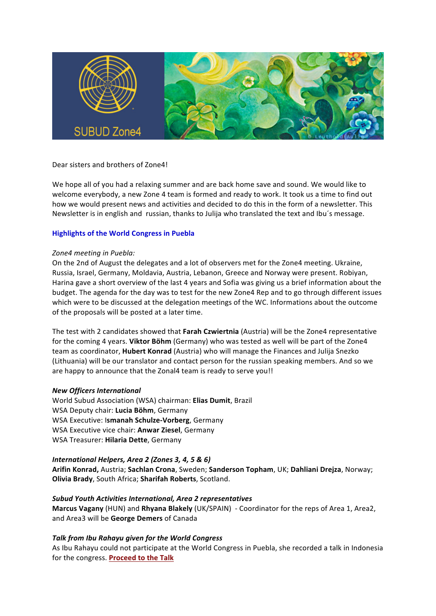

# Dear sisters and brothers of Zone4!

We hope all of you had a relaxing summer and are back home save and sound. We would like to welcome everybody, a new Zone 4 team is formed and ready to work. It took us a time to find out how we would present news and activities and decided to do this in the form of a newsletter. This Newsletter is in english and russian, thanks to Julija who translated the text and Ibu's message.

#### **Highlights of the World Congress in Puebla**

#### Zone4 meeting in Puebla:

On the 2nd of August the delegates and a lot of observers met for the Zone4 meeting. Ukraine, Russia, Israel, Germany, Moldavia, Austria, Lebanon, Greece and Norway were present. Robiyan, Harina gave a short overview of the last 4 years and Sofia was giving us a brief information about the budget. The agenda for the day was to test for the new Zone4 Rep and to go through different issues which were to be discussed at the delegation meetings of the WC. Informations about the outcome of the proposals will be posted at a later time.

The test with 2 candidates showed that Farah Czwiertnia (Austria) will be the Zone4 representative for the coming 4 years. Viktor Böhm (Germany) who was tested as well will be part of the Zone4 team as coordinator, **Hubert Konrad** (Austria) who will manage the Finances and Julija Snezko (Lithuania) will be our translator and contact person for the russian speaking members. And so we are happy to announce that the Zonal4 team is ready to serve you!!

## *New Officers International*

World Subud Association (WSA) chairman: **Elias Dumit**, Brazil WSA Deputy chair: Lucia Böhm, Germany WSA Executive: Ismanah Schulze-Vorberg, Germany WSA Executive vice chair: **Anwar Ziesel**, Germany WSA Treasurer: **Hilaria Dette**, Germany

## *International Helpers, Area 2 (Zones 3, 4, 5 & 6)*

**Arifin Konrad,** Austria; **Sachlan Crona**, Sweden; **Sanderson Topham**, UK; **Dahliani Drejza**, Norway; **Olivia Brady**, South Africa; Sharifah Roberts, Scotland.

*Subud Youth Activities International, Area 2 representatives* **Marcus Vagany** (HUN) and Rhyana Blakely (UK/SPAIN) - Coordinator for the reps of Area 1, Area2, and Area3 will be **George Demers** of Canada

## *Talk from Ibu Rahayu given for the World Congress*

As Ibu Rahayu could not participate at the World Congress in Puebla, she recorded a talk in Indonesia for the congress. Proceed to the Talk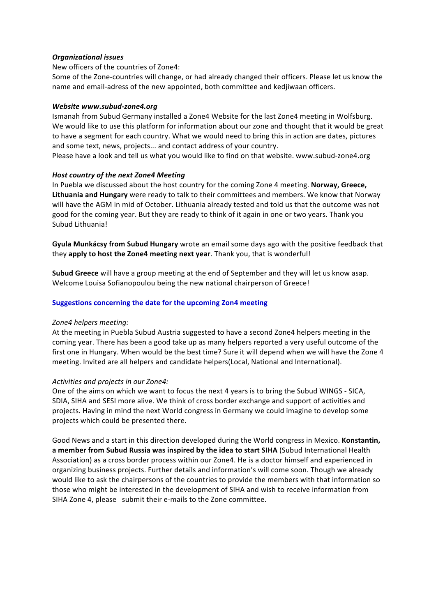## *Organizational issues*

New officers of the countries of Zone4:

Some of the Zone-countries will change, or had already changed their officers. Please let us know the name and email-adress of the new appointed, both committee and kedjiwaan officers.

## *Website www.subud-zone4.org*

Ismanah from Subud Germany installed a Zone4 Website for the last Zone4 meeting in Wolfsburg. We would like to use this platform for information about our zone and thought that it would be great to have a segment for each country. What we would need to bring this in action are dates, pictures and some text, news, projects... and contact address of your country.

Please have a look and tell us what you would like to find on that website. www.subud-zone4.org

# **Host country of the next Zone4 Meeting**

In Puebla we discussed about the host country for the coming Zone 4 meeting. Norway, Greece, Lithuania and Hungary were ready to talk to their committees and members. We know that Norway will have the AGM in mid of October. Lithuania already tested and told us that the outcome was not good for the coming year. But they are ready to think of it again in one or two years. Thank you Subud Lithuania!

**Gyula Munkácsy from Subud Hungary** wrote an email some days ago with the positive feedback that they apply to host the Zone4 meeting next year. Thank you, that is wonderful!

**Subud Greece** will have a group meeting at the end of September and they will let us know asap. Welcome Louisa Sofianopoulou being the new national chairperson of Greece!

# **Suggestions concerning the date for the upcoming Zon4 meeting**

## *Zone4 helpers meeting:*

At the meeting in Puebla Subud Austria suggested to have a second Zone4 helpers meeting in the coming year. There has been a good take up as many helpers reported a very useful outcome of the first one in Hungary. When would be the best time? Sure it will depend when we will have the Zone 4 meeting. Invited are all helpers and candidate helpers(Local, National and International).

## *Activities and projects in our Zone4:*

One of the aims on which we want to focus the next 4 years is to bring the Subud WINGS - SICA, SDIA, SIHA and SESI more alive. We think of cross border exchange and support of activities and projects. Having in mind the next World congress in Germany we could imagine to develop some projects which could be presented there.

Good News and a start in this direction developed during the World congress in Mexico. **Konstantin,** a member from Subud Russia was inspired by the idea to start SIHA (Subud International Health Association) as a cross border process within our Zone4. He is a doctor himself and experienced in organizing business projects. Further details and information's will come soon. Though we already would like to ask the chairpersons of the countries to provide the members with that information so those who might be interested in the development of SIHA and wish to receive information from SIHA Zone 4, please submit their e-mails to the Zone committee.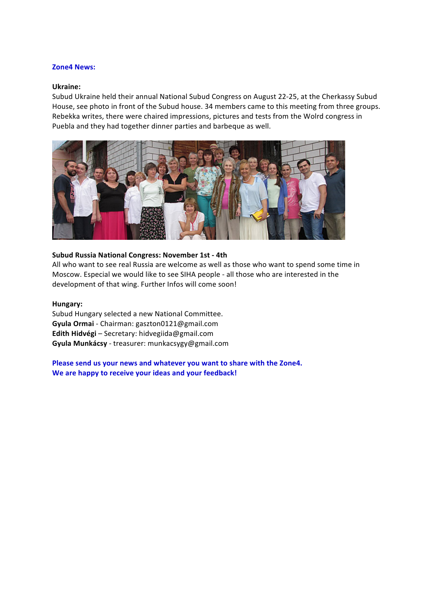#### **Zone4 News:**

#### **Ukraine:**

Subud Ukraine held their annual National Subud Congress on August 22-25, at the Cherkassy Subud House, see photo in front of the Subud house. 34 members came to this meeting from three groups. Rebekka writes, there were chaired impressions, pictures and tests from the Wolrd congress in Puebla and they had together dinner parties and barbeque as well.



#### **Subud Russia National Congress: November 1st - 4th**

All who want to see real Russia are welcome as well as those who want to spend some time in Moscow. Especial we would like to see SIHA people - all those who are interested in the development of that wing. Further Infos will come soon!

#### **Hungary:**

Subud Hungary selected a new National Committee. **Gyula Ormai** - Chairman: gaszton0121@gmail.com **Edith Hidvégi** – Secretary: hidvegiida@gmail.com **Gyula Munkácsy** - treasurer: munkacsygy@gmail.com

Please send us your news and whatever you want to share with the Zone4. We are happy to receive your ideas and your feedback!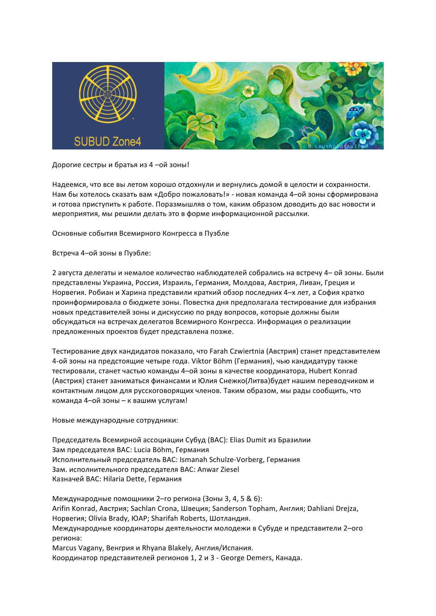

## Дорогие сестры и братья из 4 -ой зоны!

Надеемся, что все вы летом хорошо отдохнули и вернулись домой в целости и сохранности. Нам бы хотелось сказать вам «Добро пожаловать!» - новая команда 4-ой зоны сформирована и готова приступить к работе. Поразмышляв о том, каким образом доводить до вас новости и мероприятия, мы решили делать это в форме информационной рассылки.

Основные события Всемирного Конгресса в Пуэбле

Встреча 4-ой зоны в Пуэбле:

2 августа делегаты и немалое количество наблюдателей собрались на встречу 4- ой зоны. Были представлены Украина, Россия, Израиль, Германия, Молдова, Австрия, Ливан, Греция и Норвегия. Робиан и Харина представили краткий обзор последних 4-х лет, а София кратко проинформировала о бюджете зоны. Повестка дня предполагала тестирование для избрания новых представителей зоны и дискуссию по ряду вопросов, которые должны были обсуждаться на встречах делегатов Всемирного Конгресса. Информация о реализации предложенных проектов будет представлена позже.

Тестирование двух кандидатов показало, что Farah Czwiertnia (Австрия) станет представителем 4-ой зоны на предстоящие четыре года. Viktor Böhm (Германия), чью кандидатуру также тестировали, станет частью команды 4-ой зоны в качестве координатора, Hubert Konrad (Австрия) станет заниматься финансами и Юлия Снежко(Литва)будет нашим переводчиком и контактным лицом для русскоговорящих членов. Таким образом, мы рады сообщить, что команда 4-ой зоны - к вашим услугам!

Новые международные сотрудники:

Председатель Всемирной ассоциации Субуд (BAC): Elias Dumit из Бразилии Зам председателя BAC: Lucia Böhm, Германия Исполнительный председатель BAC: Ismanah Schulze-Vorberg, Германия Зам. исполнительного председателя BAC: Anwar Ziesel Казначей BAC: Hilaria Dette, Германия

Международные помощники 2-го региона (Зоны 3, 4, 5 & 6): Arifin Konrad, Австрия; Sachlan Crona, Швеция; Sanderson Topham, Англия; Dahliani Drejza, Норвегия; Olivia Brady, ЮАР; Sharifah Roberts, Шотландия. Международные координаторы деятельности молодежи в Субуде и представители 2-ого региона: Marcus Vagany, Венгрия и Rhyana Blakely, Англия/Испания. Координатор представителей регионов 1, 2 и 3 - George Demers, Канада.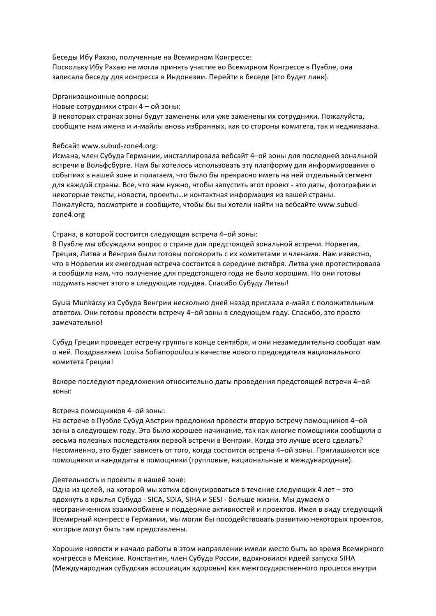Беседы Ибу Рахаю, полученные на Всемирном Конгрессе:

Поскольку Ибу Рахаю не могла принять участие во Всемирном Конгрессе в Пуэбле, она записала беседу для конгресса в Индонезии. Перейти к беседе (это будет линк).

Организационные вопросы:

Новые сотрудники стран 4 - ой зоны:

В некоторых странах зоны будут заменены или уже заменены их сотрудники. Пожалуйста, сообщите нам имена и и-майлы вновь избранных, как со стороны комитета, так и кедживаана.

Вебсайт www.subud-zone4.org:

Исмана, член Субуда Германии, инсталлировала вебсайт 4-ой зоны для последней зональной встречи в Вольфсбурге. Нам бы хотелось использовать эту платформу для информирования о событиях в нашей зоне и полагаем, что было бы прекрасно иметь на ней отдельный сегмент для каждой страны. Все, что нам нужно, чтобы запустить этот проект - это даты, фотографии и некоторые тексты, новости, проекты...и контактная информация из вашей страны. Пожалуйста, посмотрите и сообщите, чтобы бы вы хотели найти на вебсайте www.subudzone4.org

Страна, в которой состоится следующая встреча 4-ой зоны:

В Пуэбле мы обсуждали вопрос о стране для предстоящей зональной встречи. Норвегия, Греция, Литва и Венгрия были готовы поговорить с их комитетами и членами. Нам известно, что в Норвегии их ежегодная встреча состоится в середине октября. Литва уже протестировала и сообщила нам, что получение для предстоящего года не было хорошим. Но они готовы подумать насчет этого в следующие год-два. Спасибо Субуду Литвы!

Gyula Munkácsy из Субуда Венгрии несколько дней назад прислала е-майл с положительным ответом. Они готовы провести встречу 4-ой зоны в следующем году. Спасибо, это просто замечательно!

Субуд Греции проведет встречу группы в конце сентября, и они незамедлительно сообщат нам о ней. Поздравляем Louisa Sofianopoulou в качестве нового председателя национального комитета Греции!

Вскоре последуют предложения относительно даты проведения предстоящей встречи 4-ой зоны:

## Встреча помощников 4-ой зоны:

На встрече в Пуэбле Субуд Австрии предложил провести вторую встречу помощников 4-ой зоны в следующем году. Это было хорошее начинание, так как многие помощники сообщили о весьма полезных последствиях первой встречи в Венгрии. Когда это лучше всего сделать? Несомненно, это будет зависеть от того, когда состоится встреча 4-ой зоны. Приглашаются все помощники и кандидаты в помощники (групповые, национальные и международные).

## Деятельность и проекты в нашей зоне:

Одна из целей, на которой мы хотим сфокусироваться в течение следующих 4 лет – это вдохнуть в крылья Субуда - SICA, SDIA, SIHA и SESI - больше жизни. Мы думаем о неограниченном взаимообмене и поддержке активностей и проектов. Имея в виду следующий Всемирный конгресс в Германии, мы могли бы посодействовать развитию некоторых проектов, которые могут быть там представлены.

Хорошие новости и начало работы в этом направлении имели место быть во время Всемирного конгресса в Мексике. Константин, член Субуда России, вдохновился идеей запуска SIHA (Международная субудская ассоциация здоровья) как межгосударственного процесса внутри